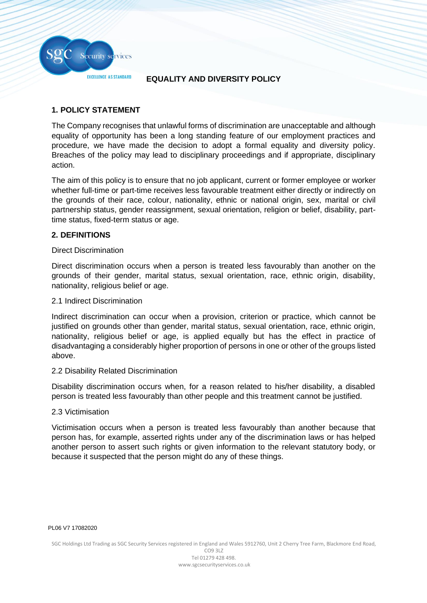

### **EQUALITY AND DIVERSITY POLICY**

# **1. POLICY STATEMENT**

The Company recognises that unlawful forms of discrimination are unacceptable and although equality of opportunity has been a long standing feature of our employment practices and procedure, we have made the decision to adopt a formal equality and diversity policy. Breaches of the policy may lead to disciplinary proceedings and if appropriate, disciplinary action.

The aim of this policy is to ensure that no job applicant, current or former employee or worker whether full-time or part-time receives less favourable treatment either directly or indirectly on the grounds of their race, colour, nationality, ethnic or national origin, sex, marital or civil partnership status, gender reassignment, sexual orientation, religion or belief, disability, parttime status, fixed-term status or age.

### **2. DEFINITIONS**

### Direct Discrimination

Direct discrimination occurs when a person is treated less favourably than another on the grounds of their gender, marital status, sexual orientation, race, ethnic origin, disability, nationality, religious belief or age.

### 2.1 Indirect Discrimination

Indirect discrimination can occur when a provision, criterion or practice, which cannot be justified on grounds other than gender, marital status, sexual orientation, race, ethnic origin, nationality, religious belief or age, is applied equally but has the effect in practice of disadvantaging a considerably higher proportion of persons in one or other of the groups listed above.

### 2.2 Disability Related Discrimination

Disability discrimination occurs when, for a reason related to his/her disability, a disabled person is treated less favourably than other people and this treatment cannot be justified.

### 2.3 Victimisation

Victimisation occurs when a person is treated less favourably than another because that person has, for example, asserted rights under any of the discrimination laws or has helped another person to assert such rights or given information to the relevant statutory body, or because it suspected that the person might do any of these things.

CO9 3LZ Tel 01279 428 498. www.sgcsecurityservices.co.uk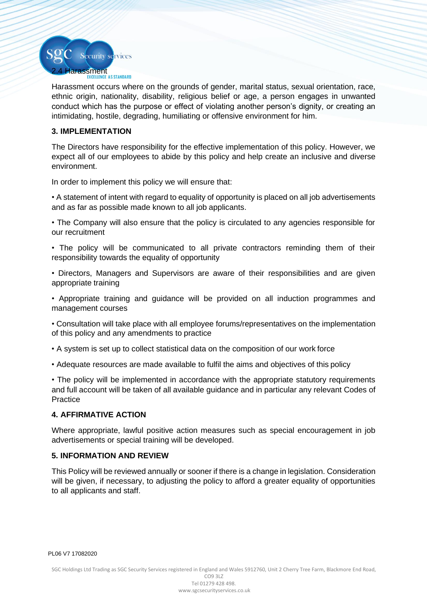

Harassment occurs where on the grounds of gender, marital status, sexual orientation, race, ethnic origin, nationality, disability, religious belief or age, a person engages in unwanted conduct which has the purpose or effect of violating another person's dignity, or creating an intimidating, hostile, degrading, humiliating or offensive environment for him.

## **3. IMPLEMENTATION**

The Directors have responsibility for the effective implementation of this policy. However, we expect all of our employees to abide by this policy and help create an inclusive and diverse environment.

In order to implement this policy we will ensure that:

• A statement of intent with regard to equality of opportunity is placed on all job advertisements and as far as possible made known to all job applicants.

• The Company will also ensure that the policy is circulated to any agencies responsible for our recruitment

• The policy will be communicated to all private contractors reminding them of their responsibility towards the equality of opportunity

• Directors, Managers and Supervisors are aware of their responsibilities and are given appropriate training

• Appropriate training and guidance will be provided on all induction programmes and management courses

• Consultation will take place with all employee forums/representatives on the implementation of this policy and any amendments to practice

- A system is set up to collect statistical data on the composition of our work force
- Adequate resources are made available to fulfil the aims and objectives of this policy

• The policy will be implemented in accordance with the appropriate statutory requirements and full account will be taken of all available guidance and in particular any relevant Codes of **Practice** 

### **4. AFFIRMATIVE ACTION**

Where appropriate, lawful positive action measures such as special encouragement in job advertisements or special training will be developed.

### **5. INFORMATION AND REVIEW**

This Policy will be reviewed annually or sooner if there is a change in legislation. Consideration will be given, if necessary, to adjusting the policy to afford a greater equality of opportunities to all applicants and staff.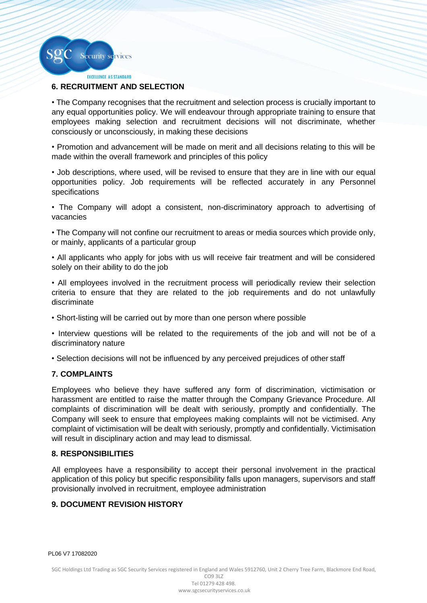

**EXCELLENCE AS STANDARD** 

### **6. RECRUITMENT AND SELECTION**

• The Company recognises that the recruitment and selection process is crucially important to any equal opportunities policy. We will endeavour through appropriate training to ensure that employees making selection and recruitment decisions will not discriminate, whether consciously or unconsciously, in making these decisions

• Promotion and advancement will be made on merit and all decisions relating to this will be made within the overall framework and principles of this policy

• Job descriptions, where used, will be revised to ensure that they are in line with our equal opportunities policy. Job requirements will be reflected accurately in any Personnel specifications

• The Company will adopt a consistent, non-discriminatory approach to advertising of vacancies

• The Company will not confine our recruitment to areas or media sources which provide only, or mainly, applicants of a particular group

• All applicants who apply for jobs with us will receive fair treatment and will be considered solely on their ability to do the job

• All employees involved in the recruitment process will periodically review their selection criteria to ensure that they are related to the job requirements and do not unlawfully discriminate

• Short-listing will be carried out by more than one person where possible

• Interview questions will be related to the requirements of the job and will not be of a discriminatory nature

• Selection decisions will not be influenced by any perceived prejudices of other staff

#### **7. COMPLAINTS**

Employees who believe they have suffered any form of discrimination, victimisation or harassment are entitled to raise the matter through the Company Grievance Procedure. All complaints of discrimination will be dealt with seriously, promptly and confidentially. The Company will seek to ensure that employees making complaints will not be victimised. Any complaint of victimisation will be dealt with seriously, promptly and confidentially. Victimisation will result in disciplinary action and may lead to dismissal.

### **8. RESPONSIBILITIES**

All employees have a responsibility to accept their personal involvement in the practical application of this policy but specific responsibility falls upon managers, supervisors and staff provisionally involved in recruitment, employee administration

### **9. DOCUMENT REVISION HISTORY**

PL06 V7 17082020

SGC Holdings Ltd Trading as SGC Security Services registered in England and Wales 5912760, Unit 2 Cherry Tree Farm, Blackmore End Road,

CO9 3LZ Tel 01279 428 498. www.sgcsecurityservices.co.uk